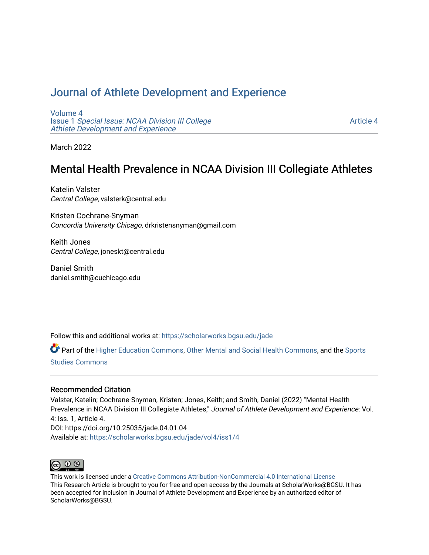# [Journal of Athlete Development and Experience](https://scholarworks.bgsu.edu/jade)

[Volume 4](https://scholarworks.bgsu.edu/jade/vol4) Issue 1 [Special Issue: NCAA Division III College](https://scholarworks.bgsu.edu/jade/vol4/iss1) [Athlete Development and Experience](https://scholarworks.bgsu.edu/jade/vol4/iss1) 

[Article 4](https://scholarworks.bgsu.edu/jade/vol4/iss1/4) 

March 2022

# Mental Health Prevalence in NCAA Division III Collegiate Athletes

Katelin Valster Central College, valsterk@central.edu

Kristen Cochrane-Snyman Concordia University Chicago, drkristensnyman@gmail.com

Keith Jones Central College, joneskt@central.edu

Daniel Smith daniel.smith@cuchicago.edu

Follow this and additional works at: [https://scholarworks.bgsu.edu/jade](https://scholarworks.bgsu.edu/jade?utm_source=scholarworks.bgsu.edu%2Fjade%2Fvol4%2Fiss1%2F4&utm_medium=PDF&utm_campaign=PDFCoverPages) 

Part of the [Higher Education Commons,](http://network.bepress.com/hgg/discipline/1245?utm_source=scholarworks.bgsu.edu%2Fjade%2Fvol4%2Fiss1%2F4&utm_medium=PDF&utm_campaign=PDFCoverPages) [Other Mental and Social Health Commons,](http://network.bepress.com/hgg/discipline/717?utm_source=scholarworks.bgsu.edu%2Fjade%2Fvol4%2Fiss1%2F4&utm_medium=PDF&utm_campaign=PDFCoverPages) and the [Sports](http://network.bepress.com/hgg/discipline/1198?utm_source=scholarworks.bgsu.edu%2Fjade%2Fvol4%2Fiss1%2F4&utm_medium=PDF&utm_campaign=PDFCoverPages) [Studies Commons](http://network.bepress.com/hgg/discipline/1198?utm_source=scholarworks.bgsu.edu%2Fjade%2Fvol4%2Fiss1%2F4&utm_medium=PDF&utm_campaign=PDFCoverPages) 

## Recommended Citation

Valster, Katelin; Cochrane-Snyman, Kristen; Jones, Keith; and Smith, Daniel (2022) "Mental Health Prevalence in NCAA Division III Collegiate Athletes," Journal of Athlete Development and Experience: Vol. 4: Iss. 1, Article 4. DOI: https://doi.org/10.25035/jade.04.01.04 Available at: [https://scholarworks.bgsu.edu/jade/vol4/iss1/4](https://scholarworks.bgsu.edu/jade/vol4/iss1/4?utm_source=scholarworks.bgsu.edu%2Fjade%2Fvol4%2Fiss1%2F4&utm_medium=PDF&utm_campaign=PDFCoverPages) 



This work is licensed under a [Creative Commons Attribution-NonCommercial 4.0 International License](https://creativecommons.org/licenses/by-nc/4.0/) This Research Article is brought to you for free and open access by the Journals at ScholarWorks@BGSU. It has been accepted for inclusion in Journal of Athlete Development and Experience by an authorized editor of ScholarWorks@BGSU.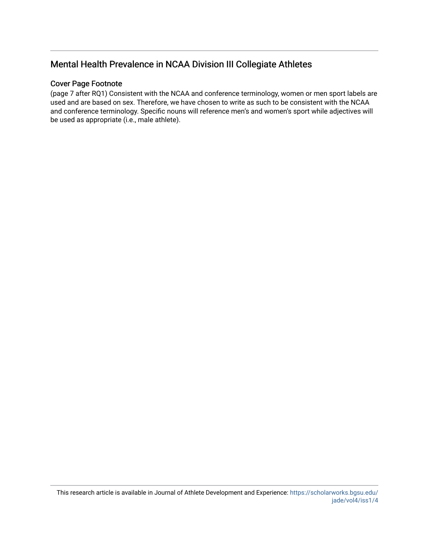# Mental Health Prevalence in NCAA Division III Collegiate Athletes

# Cover Page Footnote

(page 7 after RQ1) Consistent with the NCAA and conference terminology, women or men sport labels are used and are based on sex. Therefore, we have chosen to write as such to be consistent with the NCAA and conference terminology. Specific nouns will reference men's and women's sport while adjectives will be used as appropriate (i.e., male athlete).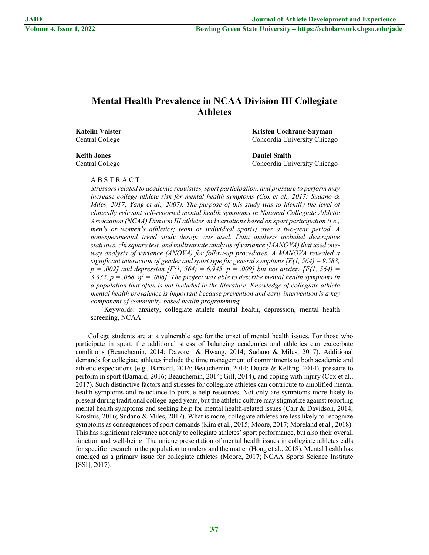# **Mental Health Prevalence in NCAA Division III Collegiate Athletes**

**Katelin Valster Kristen Cochrane-Snyman** Central College Concordia University Chicago

**Keith Jones Daniel Smith**

Central College Concordia University Chicago

### A B S T R A C T

*Stressors related to academic requisites, sport participation, and pressure to perform may increase college athlete risk for mental health symptoms (Cox et al., 2017; Sudano & Miles, 2017; Yang et al., 2007). The purpose of this study was to identify the level of clinically relevant self-reported mental health symptoms in National Collegiate Athletic Association (NCAA) Division III athletes and variations based on sport participation (i.e., men's or women's athletics; team or individual sports) over a two-year period. A nonexperimental trend study design was used. Data analysis included descriptive statistics, chi square test, and multivariate analysis of variance (MANOVA) that used oneway analysis of variance (ANOVA) for follow-up procedures. A MANOVA revealed a significant interaction of gender and sport type for general symptoms [F(1, 564) = 9.583,*   $p = .002$ ] and depression [F(1, 564) = 6.945, p = .009] but not anxiety [F(1, 564) = 3.332,  $p = .068$ ,  $\eta^2 = .006$ . The project was able to describe mental health symptoms in *a population that often is not included in the literature. Knowledge of collegiate athlete mental health prevalence is important because prevention and early intervention is a key component of community-based health programming.*

Keywords: anxiety, collegiate athlete mental health, depression, mental health screening, NCAA

College students are at a vulnerable age for the onset of mental health issues. For those who participate in sport, the additional stress of balancing academics and athletics can exacerbate conditions (Beauchemin, 2014; Davoren & Hwang, 2014; Sudano & Miles, 2017). Additional demands for collegiate athletes include the time management of commitments to both academic and athletic expectations (e.g., Barnard, 2016; Beauchemin, 2014; Douce & Kelling, 2014), pressure to perform in sport (Barnard, 2016; Beauchemin, 2014; Gill, 2014), and coping with injury (Cox et al., 2017). Such distinctive factors and stresses for collegiate athletes can contribute to amplified mental health symptoms and reluctance to pursue help resources. Not only are symptoms more likely to present during traditional college-aged years, but the athletic culture may stigmatize against reporting mental health symptoms and seeking help for mental health-related issues (Carr & Davidson, 2014; Kroshus, 2016; Sudano & Miles, 2017). What is more, collegiate athletes are less likely to recognize symptoms as consequences of sport demands (Kim et al., 2015; Moore, 2017; Moreland et al., 2018). This has significant relevance not only to collegiate athletes' sport performance, but also their overall function and well-being. The unique presentation of mental health issues in collegiate athletes calls for specific research in the population to understand the matter (Hong et al., 2018). Mental health has emerged as a primary issue for collegiate athletes (Moore, 2017; NCAA Sports Science Institute [SSI], 2017).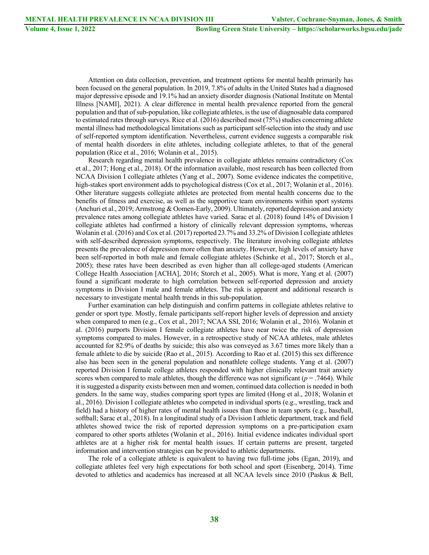Attention on data collection, prevention, and treatment options for mental health primarily has been focused on the general population. In 2019, 7.8% of adults in the United States had a diagnosed major depressive episode and 19.1% had an anxiety disorder diagnosis (National Institute on Mental Illness [NAMI], 2021). A clear difference in mental health prevalence reported from the general population and that of sub-population, like collegiate athletes, is the use of diagnosable data compared to estimated rates through surveys. Rice et al. (2016) described most (75%) studies concerning athlete mental illness had methodological limitations such as participant self-selection into the study and use of self-reported symptom identification. Nevertheless, current evidence suggests a comparable risk of mental health disorders in elite athletes, including collegiate athletes, to that of the general population (Rice et al., 2016; Wolanin et al., 2015).

Research regarding mental health prevalence in collegiate athletes remains contradictory (Cox et al., 2017; Hong et al., 2018). Of the information available, most research has been collected from NCAA Division I collegiate athletes (Yang et al., 2007). Some evidence indicates the competitive, high-stakes sport environment adds to psychological distress (Cox et al., 2017; Wolanin et al., 2016). Other literature suggests collegiate athletes are protected from mental health concerns due to the benefits of fitness and exercise, as well as the supportive team environments within sport systems (Anchuri et al., 2019; Armstrong & Oomen-Early, 2009). Ultimately, reported depression and anxiety prevalence rates among collegiate athletes have varied. Sarac et al. (2018) found 14% of Division I collegiate athletes had confirmed a history of clinically relevant depression symptoms, whereas Wolanin et al. (2016) and Cox et al. (2017) reported 23.7% and 33.2% of Division I collegiate athletes with self-described depression symptoms, respectively. The literature involving collegiate athletes presents the prevalence of depression more often than anxiety. However, high levels of anxiety have been self-reported in both male and female collegiate athletes (Schinke et al., 2017; Storch et al., 2005); these rates have been described as even higher than all college-aged students (American College Health Association [ACHA], 2016; Storch et al., 2005). What is more, Yang et al. (2007) found a significant moderate to high correlation between self-reported depression and anxiety symptoms in Division I male and female athletes. The risk is apparent and additional research is necessary to investigate mental health trends in this sub-population.

Further examination can help distinguish and confirm patterns in collegiate athletes relative to gender or sport type. Mostly, female participants self-report higher levels of depression and anxiety when compared to men (e.g., Cox et al., 2017; NCAA SSI, 2016; Wolanin et al., 2016). Wolanin et al. (2016) purports Division I female collegiate athletes have near twice the risk of depression symptoms compared to males. However, in a retrospective study of NCAA athletes, male athletes accounted for 82.9% of deaths by suicide; this also was conveyed as 3.67 times more likely than a female athlete to die by suicide (Rao et al., 2015). According to Rao et al. (2015) this sex difference also has been seen in the general population and nonathlete college students. Yang et al. (2007) reported Division I female college athletes responded with higher clinically relevant trait anxiety scores when compared to male athletes, though the difference was not significant  $(p = .7464)$ . While it is suggested a disparity exists between men and women, continued data collection is needed in both genders. In the same way, studies comparing sport types are limited (Hong et al., 2018; Wolanin et al., 2016). Division I collegiate athletes who competed in individual sports (e.g., wrestling, track and field) had a history of higher rates of mental health issues than those in team sports (e.g., baseball, softball; Sarac et al., 2018). In a longitudinal study of a Division I athletic department, track and field athletes showed twice the risk of reported depression symptoms on a pre-participation exam compared to other sports athletes (Wolanin et al., 2016). Initial evidence indicates individual sport athletes are at a higher risk for mental health issues. If certain patterns are present, targeted information and intervention strategies can be provided to athletic departments.

The role of a collegiate athlete is equivalent to having two full-time jobs (Egan, 2019), and collegiate athletes feel very high expectations for both school and sport (Eisenberg, 2014). Time devoted to athletics and academics has increased at all NCAA levels since 2010 (Paskus & Bell,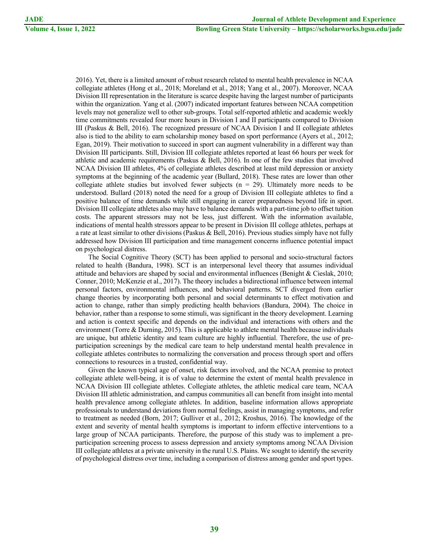2016). Yet, there is a limited amount of robust research related to mental health prevalence in NCAA collegiate athletes (Hong et al., 2018; Moreland et al., 2018; Yang et al., 2007). Moreover, NCAA Division III representation in the literature is scarce despite having the largest number of participants within the organization. Yang et al. (2007) indicated important features between NCAA competition levels may not generalize well to other sub-groups. Total self-reported athletic and academic weekly time commitments revealed four more hours in Division I and II participants compared to Division III (Paskus & Bell, 2016). The recognized pressure of NCAA Division I and II collegiate athletes also is tied to the ability to earn scholarship money based on sport performance (Ayers et al., 2012; Egan, 2019). Their motivation to succeed in sport can augment vulnerability in a different way than Division III participants. Still, Division III collegiate athletes reported at least 66 hours per week for athletic and academic requirements (Paskus & Bell, 2016). In one of the few studies that involved NCAA Division III athletes, 4% of collegiate athletes described at least mild depression or anxiety symptoms at the beginning of the academic year (Bullard, 2018). These rates are lower than other collegiate athlete studies but involved fewer subjects  $(n = 29)$ . Ultimately more needs to be understood. Bullard (2018) noted the need for a group of Division III collegiate athletes to find a positive balance of time demands while still engaging in career preparedness beyond life in sport. Division III collegiate athletes also may have to balance demands with a part-time job to offset tuition costs. The apparent stressors may not be less, just different. With the information available, indications of mental health stressors appear to be present in Division III college athletes, perhaps at a rate at least similar to other divisions (Paskus & Bell, 2016). Previous studies simply have not fully addressed how Division III participation and time management concerns influence potential impact on psychological distress.

The Social Cognitive Theory (SCT) has been applied to personal and socio-structural factors related to health (Bandura, 1998). SCT is an interpersonal level theory that assumes individual attitude and behaviors are shaped by social and environmental influences (Benight & Cieslak, 2010; Conner, 2010; McKenzie et al., 2017). The theory includes a bidirectional influence between internal personal factors, environmental influences, and behavioral patterns. SCT diverged from earlier change theories by incorporating both personal and social determinants to effect motivation and action to change, rather than simply predicting health behaviors (Bandura, 2004). The choice in behavior, rather than a response to some stimuli, was significant in the theory development. Learning and action is context specific and depends on the individual and interactions with others and the environment (Torre & Durning, 2015). This is applicable to athlete mental health because individuals are unique, but athletic identity and team culture are highly influential. Therefore, the use of preparticipation screenings by the medical care team to help understand mental health prevalence in collegiate athletes contributes to normalizing the conversation and process through sport and offers connections to resources in a trusted, confidential way.

Given the known typical age of onset, risk factors involved, and the NCAA premise to protect collegiate athlete well-being, it is of value to determine the extent of mental health prevalence in NCAA Division III collegiate athletes. Collegiate athletes, the athletic medical care team, NCAA Division III athletic administration, and campus communities all can benefit from insight into mental health prevalence among collegiate athletes. In addition, baseline information allows appropriate professionals to understand deviations from normal feelings, assist in managing symptoms, and refer to treatment as needed (Born, 2017; Gulliver et al., 2012; Kroshus, 2016). The knowledge of the extent and severity of mental health symptoms is important to inform effective interventions to a large group of NCAA participants. Therefore, the purpose of this study was to implement a preparticipation screening process to assess depression and anxiety symptoms among NCAA Division III collegiate athletes at a private university in the rural U.S. Plains. We sought to identify the severity of psychological distress over time, including a comparison of distress among gender and sport types.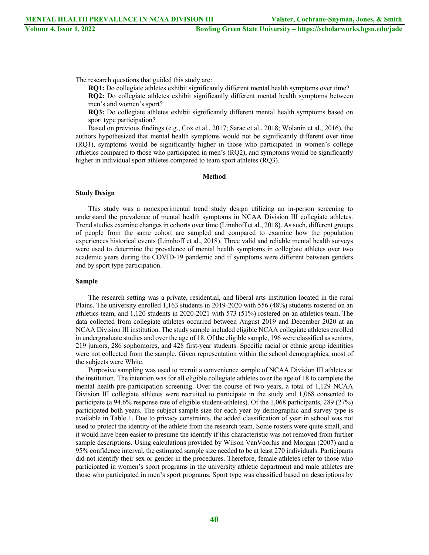The research questions that guided this study are:

**RQ1:** Do collegiate athletes exhibit significantly different mental health symptoms over time? **RQ2:** Do collegiate athletes exhibit significantly different mental health symptoms between men's and women's sport?

**RQ3:** Do collegiate athletes exhibit significantly different mental health symptoms based on sport type participation?

Based on previous findings (e.g., Cox et al., 2017; Sarac et al., 2018; Wolanin et al., 2016), the authors hypothesized that mental health symptoms would not be significantly different over time (RQ1), symptoms would be significantly higher in those who participated in women's college athletics compared to those who participated in men's (RQ2), and symptoms would be significantly higher in individual sport athletes compared to team sport athletes (RQ3).

#### **Method**

#### **Study Design**

This study was a nonexperimental trend study design utilizing an in-person screening to understand the prevalence of mental health symptoms in NCAA Division III collegiate athletes. Trend studies examine changes in cohorts over time (Linnhoff et al., 2018). As such, different groups of people from the same cohort are sampled and compared to examine how the population experiences historical events (Linnhoff et al., 2018). Three valid and reliable mental health surveys were used to determine the prevalence of mental health symptoms in collegiate athletes over two academic years during the COVID-19 pandemic and if symptoms were different between genders and by sport type participation.

#### **Sample**

The research setting was a private, residential, and liberal arts institution located in the rural Plains. The university enrolled 1,163 students in 2019-2020 with 556 (48%) students rostered on an athletics team, and 1,120 students in 2020-2021 with 573 (51%) rostered on an athletics team. The data collected from collegiate athletes occurred between August 2019 and December 2020 at an NCAA Division III institution. The study sample included eligible NCAA collegiate athletes enrolled in undergraduate studies and over the age of 18. Of the eligible sample, 196 were classified as seniors, 219 juniors, 286 sophomores, and 428 first-year students. Specific racial or ethnic group identities were not collected from the sample. Given representation within the school demographics, most of the subjects were White.

Purposive sampling was used to recruit a convenience sample of NCAA Division III athletes at the institution. The intention was for all eligible collegiate athletes over the age of 18 to complete the mental health pre-participation screening. Over the course of two years, a total of 1,129 NCAA Division III collegiate athletes were recruited to participate in the study and 1,068 consented to participate (a 94.6% response rate of eligible student-athletes). Of the 1,068 participants, 289 (27%) participated both years. The subject sample size for each year by demographic and survey type is available in Table 1. Due to privacy constraints, the added classification of year in school was not used to protect the identity of the athlete from the research team. Some rosters were quite small, and it would have been easier to presume the identify if this characteristic was not removed from further sample descriptions. Using calculations provided by Wilson VanVoorhis and Morgan (2007) and a 95% confidence interval, the estimated sample size needed to be at least 270 individuals. Participants did not identify their sex or gender in the procedures. Therefore, female athletes refer to those who participated in women's sport programs in the university athletic department and male athletes are those who participated in men's sport programs. Sport type was classified based on descriptions by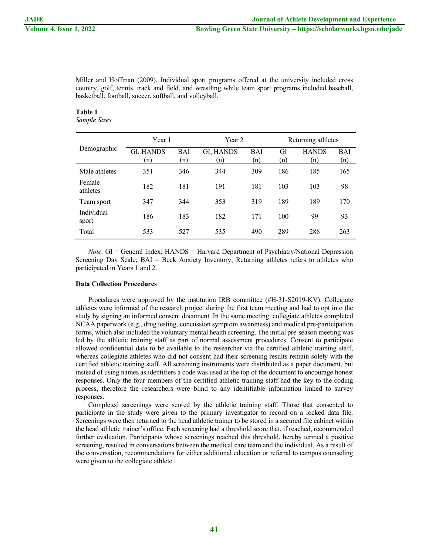Miller and Hoffman (2009). Individual sport programs offered at the university included cross country, golf, tennis, track and field, and wrestling while team sport programs included baseball, basketball, football, soccer, softball, and volleyball.

# **Table 1**

*Sample Sizes*

|                     | Year 1           |            | Year 2           |                   | Returning athletes |                     |            |
|---------------------|------------------|------------|------------------|-------------------|--------------------|---------------------|------------|
| Demographic         | GI, HANDS<br>(n) | BAI<br>(n) | GI, HANDS<br>(n) | <b>BAI</b><br>(n) | GI<br>(n)          | <b>HANDS</b><br>(n) | BAI<br>(n) |
| Male athletes       | 351              | 346        | 344              | 309               | 186                | 185                 | 165        |
| Female<br>athletes  | 182              | 181        | 191              | 181               | 103                | 103                 | 98         |
| Team sport          | 347              | 344        | 353              | 319               | 189                | 189                 | 170        |
| Individual<br>sport | 186              | 183        | 182              | 171               | 100                | 99                  | 93         |
| Total               | 533              | 527        | 535              | 490               | 289                | 288                 | 263        |

*Note.* GI = General Index; HANDS = Harvard Department of Psychiatry/National Depression Screening Day Scale; BAI = Beck Anxiety Inventory; Returning athletes refers to athletes who participated in Years 1 and 2.

### **Data Collection Procedures**

Procedures were approved by the institution IRB committee (#H-31-S2019-KV). Collegiate athletes were informed of the research project during the first team meeting and had to opt into the study by signing an informed consent document. In the same meeting, collegiate athletes completed NCAA paperwork (e.g., drug testing, concussion symptom awareness) and medical pre-participation forms, which also included the voluntary mental health screening. The initial pre-season meeting was led by the athletic training staff as part of normal assessment procedures. Consent to participate allowed confidential data to be available to the researcher via the certified athletic training staff, whereas collegiate athletes who did not consent had their screening results remain solely with the certified athletic training staff. All screening instruments were distributed as a paper document, but instead of using names as identifiers a code was used at the top of the document to encourage honest responses. Only the four members of the certified athletic training staff had the key to the coding process, therefore the researchers were blind to any identifiable information linked to survey responses.

Completed screenings were scored by the athletic training staff. Those that consented to participate in the study were given to the primary investigator to record on a locked data file. Screenings were then returned to the head athletic trainer to be stored in a secured file cabinet within the head athletic trainer's office. Each screening had a threshold score that, if reached, recommended further evaluation. Participants whose screenings reached this threshold, hereby termed a positive screening, resulted in conversations between the medical care team and the individual. As a result of the conversation, recommendations for either additional education or referral to campus counseling were given to the collegiate athlete.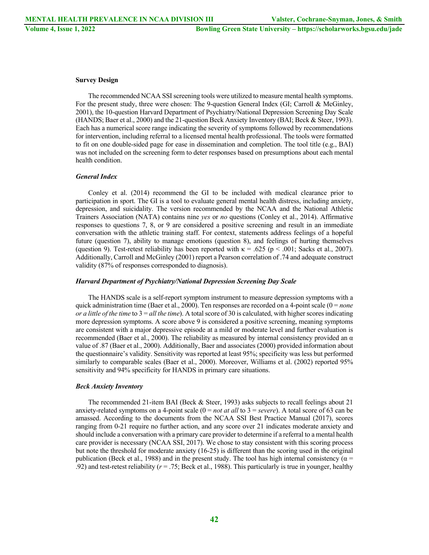#### **Survey Design**

The recommended NCAA SSI screening tools were utilized to measure mental health symptoms. For the present study, three were chosen: The 9-question General Index (GI; Carroll & McGinley, 2001), the 10-question Harvard Department of Psychiatry/National Depression Screening Day Scale (HANDS; Baer et al., 2000) and the 21-question Beck Anxiety Inventory (BAI; Beck & Steer, 1993). Each has a numerical score range indicating the severity of symptoms followed by recommendations for intervention, including referral to a licensed mental health professional. The tools were formatted to fit on one double-sided page for ease in dissemination and completion. The tool title (e.g., BAI) was not included on the screening form to deter responses based on presumptions about each mental health condition.

#### *General Index*

Conley et al. (2014) recommend the GI to be included with medical clearance prior to participation in sport. The GI is a tool to evaluate general mental health distress, including anxiety, depression, and suicidality. The version recommended by the NCAA and the National Athletic Trainers Association (NATA) contains nine *yes* or *no* questions (Conley et al., 2014). Affirmative responses to questions 7, 8, or 9 are considered a positive screening and result in an immediate conversation with the athletic training staff. For context, statements address feelings of a hopeful future (question 7), ability to manage emotions (question 8), and feelings of hurting themselves (question 9). Test-retest reliability has been reported with  $\kappa = .625$  (p < .001; Sacks et al., 2007). Additionally, Carroll and McGinley (2001) report a Pearson correlation of .74 and adequate construct validity (87% of responses corresponded to diagnosis).

#### *Harvard Department of Psychiatry/National Depression Screening Day Scale*

The HANDS scale is a self-report symptom instrument to measure depression symptoms with a quick administration time (Baer et al., 2000). Ten responses are recorded on a 4-point scale (0 = *none or a little of the time* to 3 = *all the time*). A total score of 30 is calculated, with higher scores indicating more depression symptoms. A score above 9 is considered a positive screening, meaning symptoms are consistent with a major depressive episode at a mild or moderate level and further evaluation is recommended (Baer et al., 2000). The reliability as measured by internal consistency provided an  $α$ value of .87 (Baer et al., 2000). Additionally, Baer and associates (2000) provided information about the questionnaire's validity. Sensitivity was reported at least 95%; specificity was less but performed similarly to comparable scales (Baer et al., 2000). Moreover, Williams et al. (2002) reported 95% sensitivity and 94% specificity for HANDS in primary care situations.

#### *Beck Anxiety Inventory*

The recommended 21-item BAI (Beck & Steer, 1993) asks subjects to recall feelings about 21 anxiety-related symptoms on a 4-point scale  $(0 = not at all to 3 = severe)$ . A total score of 63 can be amassed. According to the documents from the NCAA SSI Best Practice Manual (2017), scores ranging from 0-21 require no further action, and any score over 21 indicates moderate anxiety and should include a conversation with a primary care provider to determine if a referral to a mental health care provider is necessary (NCAA SSI, 2017). We chose to stay consistent with this scoring process but note the threshold for moderate anxiety (16-25) is different than the scoring used in the original publication (Beck et al., 1988) and in the present study. The tool has high internal consistency ( $\alpha$  = .92) and test-retest reliability (*r* = .75; Beck et al., 1988). This particularly is true in younger, healthy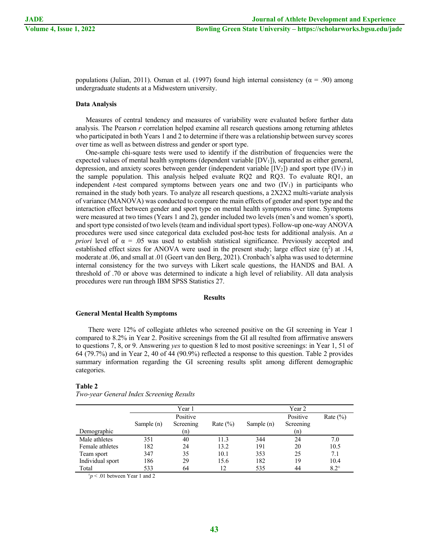populations (Julian, 2011). Osman et al. (1997) found high internal consistency ( $\alpha$  = .90) among undergraduate students at a Midwestern university.

#### **Data Analysis**

Measures of central tendency and measures of variability were evaluated before further data analysis. The Pearson *r* correlation helped examine all research questions among returning athletes who participated in both Years 1 and 2 to determine if there was a relationship between survey scores over time as well as between distress and gender or sport type.

One-sample chi-square tests were used to identify if the distribution of frequencies were the expected values of mental health symptoms (dependent variable  $[DV_1]$ ), separated as either general, depression, and anxiety scores between gender (independent variable  $[IV_2]$ ) and sport type  $(IV_3)$  in the sample population. This analysis helped evaluate RQ2 and RQ3. To evaluate RQ1, an independent  $t$ -test compared symptoms between years one and two  $(IV<sub>1</sub>)$  in participants who remained in the study both years. To analyze all research questions, a 2X2X2 multi-variate analysis of variance (MANOVA) was conducted to compare the main effects of gender and sport type and the interaction effect between gender and sport type on mental health symptoms over time. Symptoms were measured at two times (Years 1 and 2), gender included two levels (men's and women's sport), and sport type consisted of two levels (team and individual sport types). Follow-up one-way ANOVA procedures were used since categorical data excluded post-hoc tests for additional analysis. An *a priori* level of  $\alpha = 0.05$  was used to establish statistical significance. Previously accepted and established effect sizes for ANOVA were used in the present study; large effect size  $(\eta^2)$  at .14, moderate at .06, and small at .01 (Geert van den Berg, 2021). Cronbach's alpha was used to determine internal consistency for the two surveys with Likert scale questions, the HANDS and BAI. A threshold of .70 or above was determined to indicate a high level of reliability. All data analysis procedures were run through IBM SPSS Statistics 27.

#### **Results**

#### **General Mental Health Symptoms**

There were 12% of collegiate athletes who screened positive on the GI screening in Year 1 compared to 8.2% in Year 2. Positive screenings from the GI all resulted from affirmative answers to questions 7, 8, or 9. Answering *yes* to question 8 led to most positive screenings: in Year 1, 51 of 64 (79.7%) and in Year 2, 40 of 44 (90.9%) reflected a response to this question. Table 2 provides summary information regarding the GI screening results split among different demographic categories.

#### **Table 2**

|                  | Year 1     |           |              | Year 2                   |           |             |  |
|------------------|------------|-----------|--------------|--------------------------|-----------|-------------|--|
|                  | Positive   |           |              | Positive<br>Rate $(\% )$ |           |             |  |
|                  | Sample (n) | Screening | Rate $(\% )$ | Sample $(n)$             | Screening |             |  |
| Demographic      |            | (n)       |              |                          | (n)       |             |  |
| Male athletes    | 351        | 40        | 11.3         | 344                      | 24        | 7.0         |  |
| Female athletes  | 182        | 24        | 13.2         | 191                      | 20        | 10.5        |  |
| Team sport       | 347        | 35        | 10.1         | 353                      | 25        | 7.1         |  |
| Individual sport | 186        | 29        | 15.6         | 182                      | 19        | 10.4        |  |
| Total            | 533        | 64        | 12           | 535                      | 44        | $8.2^{\pm}$ |  |

*Two-year General Index Screening Results*

 $\pm p$  < .01 between Year 1 and 2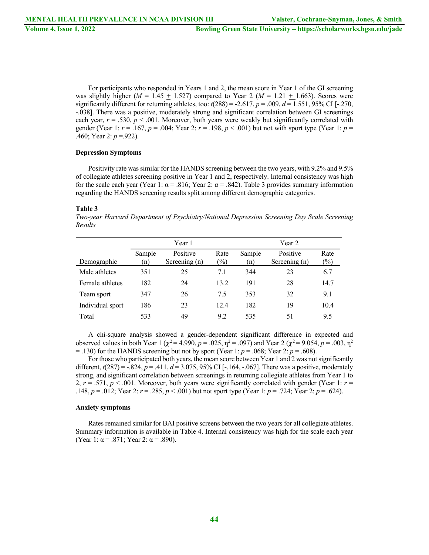For participants who responded in Years 1 and 2, the mean score in Year 1 of the GI screening was slightly higher ( $M = 1.45 \pm 1.527$ ) compared to Year 2 ( $M = 1.21 \pm 1.663$ ). Scores were significantly different for returning athletes, too:  $t(288) = -2.617$ ,  $p = .009$ ,  $d = 1.551$ , 95% CI [-.270, -.038]. There was a positive, moderately strong and significant correlation between GI screenings each year,  $r = .530$ ,  $p < .001$ . Moreover, both years were weakly but significantly correlated with gender (Year 1: *r* = .167, *p* = .004; Year 2: *r* = .198, *p* < .001) but not with sport type (Year 1: *p* = .460; Year 2: *p* =.922).

#### **Depression Symptoms**

Positivity rate was similar for the HANDS screening between the two years, with 9.2% and 9.5% of collegiate athletes screening positive in Year 1 and 2, respectively. Internal consistency was high for the scale each year (Year 1:  $\alpha$  = .816; Year 2:  $\alpha$  = .842). Table 3 provides summary information regarding the HANDS screening results split among different demographic categories.

#### **Table 3**

*Two-year Harvard Department of Psychiatry/National Depression Screening Day Scale Screening Results*

|                  | Year 1        |                           |                | Year 2        |                           |                |  |
|------------------|---------------|---------------------------|----------------|---------------|---------------------------|----------------|--|
| Demographic      | Sample<br>(n) | Positive<br>Screening (n) | Rate<br>$(\%)$ | Sample<br>(n) | Positive<br>Screening (n) | Rate<br>$(\%)$ |  |
| Male athletes    | 351           | 25                        | 7.1            | 344           | 23                        | 6.7            |  |
| Female athletes  | 182           | 24                        | 13.2           | 191           | 28                        | 14.7           |  |
| Team sport       | 347           | 26                        | 7.5            | 353           | 32                        | 9.1            |  |
| Individual sport | 186           | 23                        | 12.4           | 182           | 19                        | 10.4           |  |
| Total            | 533           | 49                        | 9.2            | 535           | 51                        | 9.5            |  |

A chi-square analysis showed a gender-dependent significant difference in expected and observed values in both Year 1 ( $\chi^2$  = 4.990, *p* = .025,  $\eta^2$  = .097) and Year 2 ( $\chi^2$  = 9.054, *p* = .003,  $\eta^2$  $=$  .130) for the HANDS screening but not by sport (Year 1:  $p = .068$ ; Year 2:  $p = .608$ ).

For those who participated both years, the mean score between Year 1 and 2 was not significantly different, *t*(287) = -.824, *p* = .411, *d* = 3.075, 95% CI [-.164, -.067]. There was a positive, moderately strong, and significant correlation between screenings in returning collegiate athletes from Year 1 to 2,  $r = .571$ ,  $p < .001$ . Moreover, both years were significantly correlated with gender (Year 1:  $r =$ .148, *p* = .012; Year 2: *r* = .285, *p* < .001) but not sport type (Year 1: *p* = .724; Year 2: *p* = .624).

#### **Anxiety symptoms**

Rates remained similar for BAI positive screens between the two years for all collegiate athletes. Summary information is available in Table 4. Internal consistency was high for the scale each year (Year 1:  $\alpha$  = .871; Year 2:  $\alpha$  = .890).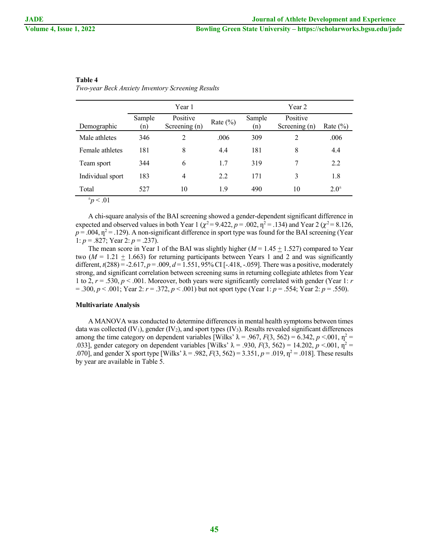### **Table 4**

*Two-year Beck Anxiety Inventory Screening Results*

|                  | Year 1        |                           |              | Year 2        |                           |              |  |
|------------------|---------------|---------------------------|--------------|---------------|---------------------------|--------------|--|
| Demographic      | Sample<br>(n) | Positive<br>Screening (n) | Rate $(\% )$ | Sample<br>(n) | Positive<br>Screening (n) | Rate $(\% )$ |  |
| Male athletes    | 346           | 2                         | .006         | 309           | $\overline{2}$            | .006         |  |
| Female athletes  | 181           | 8                         | 4.4          | 181           | 8                         | 4.4          |  |
| Team sport       | 344           | 6                         | 1.7          | 319           | 7                         | 2.2          |  |
| Individual sport | 183           | 4                         | 2.2          | 171           | 3                         | 1.8          |  |
| Total            | 527           | 10                        | 1.9          | 490           | 10                        | $2.0^{\pm}$  |  |
| p < .01          |               |                           |              |               |                           |              |  |

A chi-square analysis of the BAI screening showed a gender-dependent significant difference in expected and observed values in both Year 1 ( $\chi^2$  = 9.422, *p* = .002,  $\eta^2$  = .134) and Year 2 ( $\chi^2$  = 8.126,  $p = .004$ ,  $\eta^2 = .129$ ). A non-significant difference in sport type was found for the BAI screening (Year 1: *p* = .827; Year 2: *p* = .237).

The mean score in Year 1 of the BAI was slightly higher  $(M = 1.45 \pm 1.527)$  compared to Year two  $(M = 1.21 \pm 1.663)$  for returning participants between Years 1 and 2 and was significantly different, *t*(288) = -2.617, *p* = .009, *d* = 1.551, 95% CI [-.418, -.059]. There was a positive, moderately strong, and significant correlation between screening sums in returning collegiate athletes from Year 1 to 2, *r* = .530, *p* < .001. Moreover, both years were significantly correlated with gender (Year 1: *r* = .300, *p* < .001; Year 2: *r* = .372, *p* < .001) but not sport type (Year 1: *p* = .554; Year 2: *p* = .550).

#### **Multivariate Analysis**

A MANOVA was conducted to determine differences in mental health symptoms between times data was collected  $(IV_1)$ , gender  $(IV_2)$ , and sport types  $(IV_3)$ . Results revealed significant differences among the time category on dependent variables [Wilks'  $\lambda = .967$ ,  $F(3, 562) = 6.342$ ,  $p < .001$ ,  $\eta^2 =$ .033], gender category on dependent variables [Wilks'  $\lambda = .930$ ,  $F(3, 562) = 14.202$ ,  $p < .001$ ,  $\eta^2 =$ .070], and gender X sport type [Wilks'  $\lambda = .982$ ,  $F(3, 562) = 3.351$ ,  $p = .019$ ,  $p^2 = .018$ ]. These results by year are available in Table 5.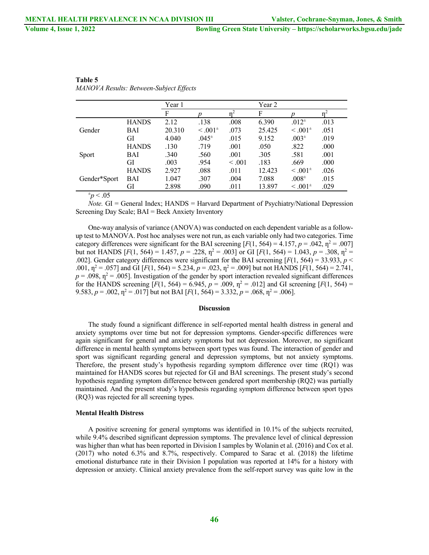|               |              | Year 1 |                   |         | Year 2 |                   |      |
|---------------|--------------|--------|-------------------|---------|--------|-------------------|------|
|               |              | F      |                   |         | F      |                   |      |
|               | <b>HANDS</b> | 2.12   | .138              | .008    | 6.390  | $.012*$           | .013 |
| Gender        | BAI          | 20.310 | $\leq .001^{\pm}$ | .073    | 25.425 | $\leq .001^{\pm}$ | .051 |
|               | GI           | 4.040  | $.045^{\pm}$      | .015    | 9.152  | .003 <sup>±</sup> | .019 |
|               | <b>HANDS</b> | .130   | .719              | .001    | .050   | .822              | .000 |
| Sport         | BAI          | .340   | .560              | .001    | .305   | .581              | .001 |
|               | GI           | .003   | .954              | < 0.001 | .183   | .669              | .000 |
|               | <b>HANDS</b> | 2.927  | .088              | .011    | 12.423 | $\leq .001^{\pm}$ | .026 |
| Gender*Sport  | BAI          | 1.047  | .307              | .004    | 7.088  | $.008^{\pm}$      | .015 |
|               | GI           | 2.898  | .090              | .011    | 13.897 | $\leq .001^{\pm}$ | .029 |
| $\sim$ $\sim$ |              |        |                   |         |        |                   |      |

| Table 5                                        |  |
|------------------------------------------------|--|
| <b>MANOVA Results: Between-Subject Effects</b> |  |

 $p < .05$ 

*Note.* GI = General Index; HANDS = Harvard Department of Psychiatry/National Depression Screening Day Scale; BAI = Beck Anxiety Inventory

One-way analysis of variance (ANOVA) was conducted on each dependent variable as a followup test to MANOVA. Post hoc analyses were not run, as each variable only had two categories. Time category differences were significant for the BAI screening  $[F(1, 564) = 4.157, p = .042, \eta^2 = .007]$ but not HANDS  $[F(1, 564) = 1.457, p = .228, \eta^2 = .003]$  or GI  $[F(1, 564) = 1.043, p = .308, \eta^2 = .003]$ .002]. Gender category differences were significant for the BAI screening  $[F(1, 564) = 33.933, p <$ .001,  $\eta^2 = .057$ ] and GI [*F*(1, 564) = 5.234, *p* = .023,  $\eta^2 = .009$ ] but not HANDS [*F*(1, 564) = 2.741,  $p = .098$ ,  $\eta^2 = .005$ ]. Investigation of the gender by sport interaction revealed significant differences for the HANDS screening  $[F(1, 564) = 6.945, p = .009, \eta^2 = .012]$  and GI screening  $[F(1, 564) =$ 9.583,  $p = .002$ ,  $\eta^2 = .017$  but not BAI [ $F(1, 564) = 3.332$ ,  $p = .068$ ,  $\eta^2 = .006$ ].

#### **Discussion**

The study found a significant difference in self-reported mental health distress in general and anxiety symptoms over time but not for depression symptoms. Gender-specific differences were again significant for general and anxiety symptoms but not depression. Moreover, no significant difference in mental health symptoms between sport types was found. The interaction of gender and sport was significant regarding general and depression symptoms, but not anxiety symptoms. Therefore, the present study's hypothesis regarding symptom difference over time (RQ1) was maintained for HANDS scores but rejected for GI and BAI screenings. The present study's second hypothesis regarding symptom difference between gendered sport membership (RQ2) was partially maintained. And the present study's hypothesis regarding symptom difference between sport types (RQ3) was rejected for all screening types.

#### **Mental Health Distress**

A positive screening for general symptoms was identified in 10.1% of the subjects recruited, while 9.4% described significant depression symptoms. The prevalence level of clinical depression was higher than what has been reported in Division I samples by Wolanin et al. (2016) and Cox et al. (2017) who noted 6.3% and 8.7%, respectively. Compared to Sarac et al. (2018) the lifetime emotional disturbance rate in their Division I population was reported at 14% for a history with depression or anxiety. Clinical anxiety prevalence from the self-report survey was quite low in the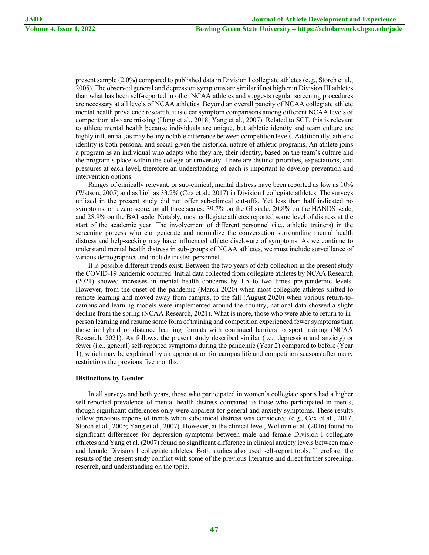present sample (2.0%) compared to published data in Division I collegiate athletes (e.g., Storch et al., 2005). The observed general and depression symptoms are similar if not higher in Division III athletes than what has been self-reported in other NCAA athletes and suggests regular screening procedures are necessary at all levels of NCAA athletics. Beyond an overall paucity of NCAA collegiate athlete mental health prevalence research, it is clear symptom comparisons among different NCAA levels of competition also are missing (Hong et al., 2018; Yang et al., 2007). Related to SCT, this is relevant to athlete mental health because individuals are unique, but athletic identity and team culture are highly influential, as may be any notable difference between competition levels. Additionally, athletic identity is both personal and social given the historical nature of athletic programs. An athlete joins a program as an individual who adapts who they are, their identity, based on the team's culture and the program's place within the college or university. There are distinct priorities, expectations, and pressures at each level, therefore an understanding of each is important to develop prevention and intervention options.

Ranges of clinically relevant, or sub-clinical, mental distress have been reported as low as 10% (Watson, 2005) and as high as 33.2% (Cox et al., 2017) in Division I collegiate athletes. The surveys utilized in the present study did not offer sub-clinical cut-offs. Yet less than half indicated no symptoms, or a zero score, on all three scales: 39.7% on the GI scale, 20.8% on the HANDS scale, and 28.9% on the BAI scale. Notably, most collegiate athletes reported some level of distress at the start of the academic year. The involvement of different personnel (i.e., athletic trainers) in the screening process who can generate and normalize the conversation surrounding mental health distress and help-seeking may have influenced athlete disclosure of symptoms. As we continue to understand mental health distress in sub-groups of NCAA athletes, we must include surveillance of various demographics and include trusted personnel.

It is possible different trends exist. Between the two years of data collection in the present study the COVID-19 pandemic occurred. Initial data collected from collegiate athletes by NCAA Research (2021) showed increases in mental health concerns by 1.5 to two times pre-pandemic levels. However, from the onset of the pandemic (March 2020) when most collegiate athletes shifted to remote learning and moved away from campus, to the fall (August 2020) when various return-tocampus and learning models were implemented around the country, national data showed a slight decline from the spring (NCAA Research, 2021). What is more, those who were able to return to inperson learning and resume some form of training and competition experienced fewer symptoms than those in hybrid or distance learning formats with continued barriers to sport training (NCAA Research, 2021). As follows, the present study described similar (i.e., depression and anxiety) or fewer (i.e., general) self-reported symptoms during the pandemic (Year 2) compared to before (Year 1), which may be explained by an appreciation for campus life and competition seasons after many restrictions the previous five months.

#### **Distinctions by Gender**

In all surveys and both years, those who participated in women's collegiate sports had a higher self-reported prevalence of mental health distress compared to those who participated in men's, though significant differences only were apparent for general and anxiety symptoms. These results follow previous reports of trends when subclinical distress was considered (e.g., Cox et al., 2017; Storch et al., 2005; Yang et al., 2007). However, at the clinical level, Wolanin et al. (2016) found no significant differences for depression symptoms between male and female Division I collegiate athletes and Yang et al. (2007) found no significant difference in clinical anxiety levels between male and female Division I collegiate athletes. Both studies also used self-report tools. Therefore, the results of the present study conflict with some of the previous literature and direct further screening, research, and understanding on the topic.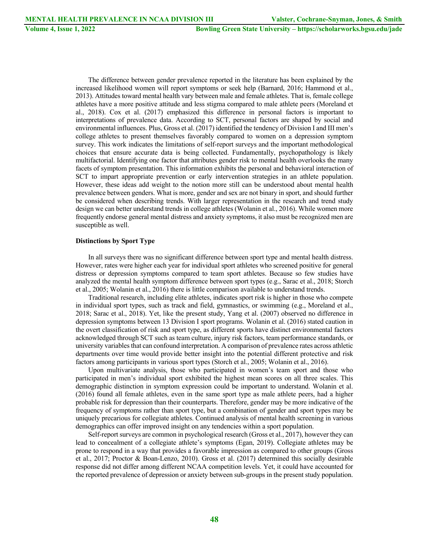The difference between gender prevalence reported in the literature has been explained by the increased likelihood women will report symptoms or seek help (Barnard, 2016; Hammond et al., 2013). Attitudes toward mental health vary between male and female athletes. That is, female college athletes have a more positive attitude and less stigma compared to male athlete peers (Moreland et al., 2018). Cox et al. (2017) emphasized this difference in personal factors is important to interpretations of prevalence data. According to SCT, personal factors are shaped by social and environmental influences. Plus, Gross et al. (2017) identified the tendency of Division I and III men's college athletes to present themselves favorably compared to women on a depression symptom survey. This work indicates the limitations of self-report surveys and the important methodological choices that ensure accurate data is being collected. Fundamentally, psychopathology is likely multifactorial. Identifying one factor that attributes gender risk to mental health overlooks the many facets of symptom presentation. This information exhibits the personal and behavioral interaction of SCT to impart appropriate prevention or early intervention strategies in an athlete population. However, these ideas add weight to the notion more still can be understood about mental health prevalence between genders. What is more, gender and sex are not binary in sport, and should further be considered when describing trends. With larger representation in the research and trend study design we can better understand trends in college athletes (Wolanin et al., 2016). While women more frequently endorse general mental distress and anxiety symptoms, it also must be recognized men are susceptible as well.

#### **Distinctions by Sport Type**

In all surveys there was no significant difference between sport type and mental health distress. However, rates were higher each year for individual sport athletes who screened positive for general distress or depression symptoms compared to team sport athletes. Because so few studies have analyzed the mental health symptom difference between sport types (e.g., Sarac et al., 2018; Storch et al., 2005; Wolanin et al., 2016) there is little comparison available to understand trends.

Traditional research, including elite athletes, indicates sport risk is higher in those who compete in individual sport types, such as track and field, gymnastics, or swimming (e.g., Moreland et al., 2018; Sarac et al., 2018). Yet, like the present study, Yang et al. (2007) observed no difference in depression symptoms between 13 Division I sport programs. Wolanin et al. (2016) stated caution in the overt classification of risk and sport type, as different sports have distinct environmental factors acknowledged through SCT such as team culture, injury risk factors, team performance standards, or university variables that can confound interpretation. A comparison of prevalence rates across athletic departments over time would provide better insight into the potential different protective and risk factors among participants in various sport types (Storch et al., 2005; Wolanin et al., 2016).

Upon multivariate analysis, those who participated in women's team sport and those who participated in men's individual sport exhibited the highest mean scores on all three scales. This demographic distinction in symptom expression could be important to understand. Wolanin et al. (2016) found all female athletes, even in the same sport type as male athlete peers, had a higher probable risk for depression than their counterparts. Therefore, gender may be more indicative of the frequency of symptoms rather than sport type, but a combination of gender and sport types may be uniquely precarious for collegiate athletes. Continued analysis of mental health screening in various demographics can offer improved insight on any tendencies within a sport population.

Self-report surveys are common in psychological research (Gross et al., 2017), however they can lead to concealment of a collegiate athlete's symptoms (Egan, 2019). Collegiate athletes may be prone to respond in a way that provides a favorable impression as compared to other groups (Gross et al., 2017; Proctor & Boan-Lenzo, 2010). Gross et al. (2017) determined this socially desirable response did not differ among different NCAA competition levels. Yet, it could have accounted for the reported prevalence of depression or anxiety between sub-groups in the present study population.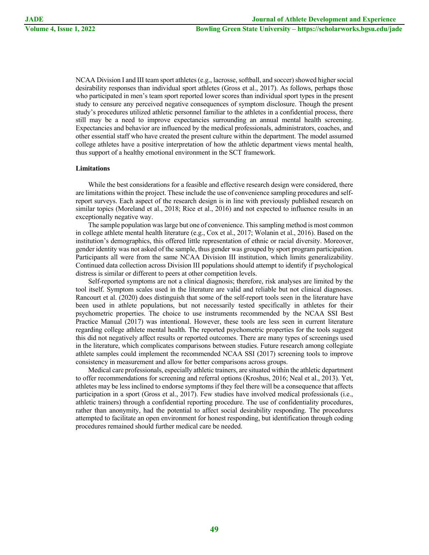NCAA Division I and III team sport athletes (e.g., lacrosse, softball, and soccer) showed higher social desirability responses than individual sport athletes (Gross et al., 2017). As follows, perhaps those who participated in men's team sport reported lower scores than individual sport types in the present study to censure any perceived negative consequences of symptom disclosure. Though the present study's procedures utilized athletic personnel familiar to the athletes in a confidential process, there still may be a need to improve expectancies surrounding an annual mental health screening. Expectancies and behavior are influenced by the medical professionals, administrators, coaches, and other essential staff who have created the present culture within the department. The model assumed college athletes have a positive interpretation of how the athletic department views mental health, thus support of a healthy emotional environment in the SCT framework.

#### **Limitations**

While the best considerations for a feasible and effective research design were considered, there are limitations within the project. These include the use of convenience sampling procedures and selfreport surveys. Each aspect of the research design is in line with previously published research on similar topics (Moreland et al., 2018; Rice et al., 2016) and not expected to influence results in an exceptionally negative way.

The sample population was large but one of convenience. This sampling method is most common in college athlete mental health literature (e.g., Cox et al., 2017; Wolanin et al., 2016). Based on the institution's demographics, this offered little representation of ethnic or racial diversity. Moreover, gender identity was not asked of the sample, thus gender was grouped by sport program participation. Participants all were from the same NCAA Division III institution, which limits generalizability. Continued data collection across Division III populations should attempt to identify if psychological distress is similar or different to peers at other competition levels.

Self-reported symptoms are not a clinical diagnosis; therefore, risk analyses are limited by the tool itself. Symptom scales used in the literature are valid and reliable but not clinical diagnoses. Rancourt et al. (2020) does distinguish that some of the self-report tools seen in the literature have been used in athlete populations, but not necessarily tested specifically in athletes for their psychometric properties. The choice to use instruments recommended by the NCAA SSI Best Practice Manual (2017) was intentional. However, these tools are less seen in current literature regarding college athlete mental health. The reported psychometric properties for the tools suggest this did not negatively affect results or reported outcomes. There are many types of screenings used in the literature, which complicates comparisons between studies. Future research among collegiate athlete samples could implement the recommended NCAA SSI (2017) screening tools to improve consistency in measurement and allow for better comparisons across groups.

Medical care professionals, especially athletic trainers, are situated within the athletic department to offer recommendations for screening and referral options (Kroshus, 2016; Neal et al., 2013). Yet, athletes may be less inclined to endorse symptoms if they feel there will be a consequence that affects participation in a sport (Gross et al., 2017). Few studies have involved medical professionals (i.e., athletic trainers) through a confidential reporting procedure. The use of confidentiality procedures, rather than anonymity, had the potential to affect social desirability responding. The procedures attempted to facilitate an open environment for honest responding, but identification through coding procedures remained should further medical care be needed.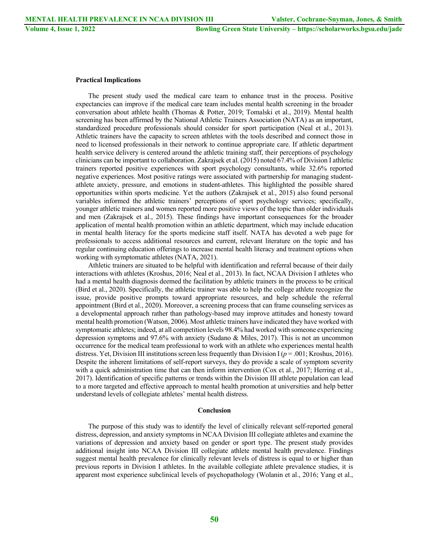#### **Practical Implications**

The present study used the medical care team to enhance trust in the process. Positive expectancies can improve if the medical care team includes mental health screening in the broader conversation about athlete health (Thomas & Potter, 2019; Tomalski et al., 2019). Mental health screening has been affirmed by the National Athletic Trainers Association (NATA) as an important, standardized procedure professionals should consider for sport participation (Neal et al., 2013). Athletic trainers have the capacity to screen athletes with the tools described and connect those in need to licensed professionals in their network to continue appropriate care. If athletic department health service delivery is centered around the athletic training staff, their perceptions of psychology clinicians can be important to collaboration. Zakrajsek et al. (2015) noted 67.4% of Division I athletic trainers reported positive experiences with sport psychology consultants, while 32.6% reported negative experiences. Most positive ratings were associated with partnership for managing studentathlete anxiety, pressure, and emotions in student-athletes. This highlighted the possible shared opportunities within sports medicine. Yet the authors (Zakrajsek et al., 2015) also found personal variables informed the athletic trainers' perceptions of sport psychology services; specifically, younger athletic trainers and women reported more positive views of the topic than older individuals and men (Zakrajsek et al., 2015). These findings have important consequences for the broader application of mental health promotion within an athletic department, which may include education in mental health literacy for the sports medicine staff itself. NATA has devoted a web page for professionals to access additional resources and current, relevant literature on the topic and has regular continuing education offerings to increase mental health literacy and treatment options when working with symptomatic athletes (NATA, 2021).

Athletic trainers are situated to be helpful with identification and referral because of their daily interactions with athletes (Kroshus, 2016; Neal et al., 2013). In fact, NCAA Division I athletes who had a mental health diagnosis deemed the facilitation by athletic trainers in the process to be critical (Bird et al., 2020). Specifically, the athletic trainer was able to help the college athlete recognize the issue, provide positive prompts toward appropriate resources, and help schedule the referral appointment (Bird et al., 2020). Moreover, a screening process that can frame counseling services as a developmental approach rather than pathology-based may improve attitudes and honesty toward mental health promotion (Watson, 2006). Most athletic trainers have indicated they have worked with symptomatic athletes; indeed, at all competition levels 98.4% had worked with someone experiencing depression symptoms and 97.6% with anxiety (Sudano & Miles, 2017). This is not an uncommon occurrence for the medical team professional to work with an athlete who experiences mental health distress. Yet, Division III institutions screen less frequently than Division I ( $p = .001$ ; Kroshus, 2016). Despite the inherent limitations of self-report surveys, they do provide a scale of symptom severity with a quick administration time that can then inform intervention (Cox et al., 2017; Herring et al., 2017). Identification of specific patterns or trends within the Division III athlete population can lead to a more targeted and effective approach to mental health promotion at universities and help better understand levels of collegiate athletes' mental health distress.

#### **Conclusion**

The purpose of this study was to identify the level of clinically relevant self-reported general distress, depression, and anxiety symptoms in NCAA Division III collegiate athletes and examine the variations of depression and anxiety based on gender or sport type. The present study provides additional insight into NCAA Division III collegiate athlete mental health prevalence. Findings suggest mental health prevalence for clinically relevant levels of distress is equal to or higher than previous reports in Division I athletes. In the available collegiate athlete prevalence studies, it is apparent most experience subclinical levels of psychopathology (Wolanin et al., 2016; Yang et al.,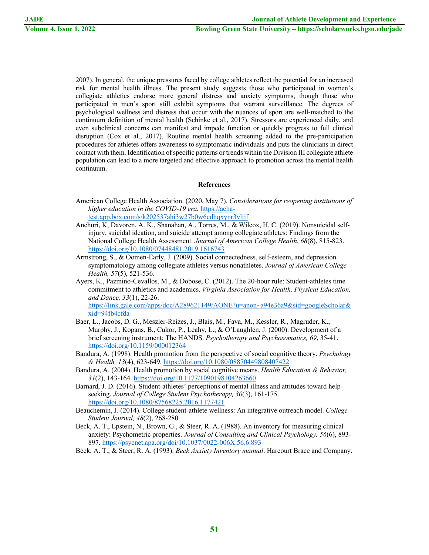2007). In general, the unique pressures faced by college athletes reflect the potential for an increased risk for mental health illness. The present study suggests those who participated in women's collegiate athletics endorse more general distress and anxiety symptoms, though those who participated in men's sport still exhibit symptoms that warrant surveillance. The degrees of psychological wellness and distress that occur with the nuances of sport are well-matched to the continuum definition of mental health (Schinke et al., 2017). Stressors are experienced daily, and even subclinical concerns can manifest and impede function or quickly progress to full clinical disruption (Cox et al., 2017). Routine mental health screening added to the pre-participation procedures for athletes offers awareness to symptomatic individuals and puts the clinicians in direct contact with them. Identification of specific patterns or trends within the Division III collegiate athlete population can lead to a more targeted and effective approach to promotion across the mental health continuum.

### **References**

- American College Health Association. (2020, May 7). *Considerations for reopening institutions of higher education in the COVID-19 era.* https://achatest.app.box.com/s/k202537ahi3w27b0w6cdhqxynr3vljif
- Anchuri, K, Davoren, A. K., Shanahan, A., Torres, M., & Wilcox, H. C. (2019). Nonsuicidal selfinjury, suicidal ideation, and suicide attempt among collegiate athletes: Findings from the National College Health Assessment. *Journal of American College Health*, *68*(8), 815-823. https://doi.org/10.1080/07448481.2019.1616743
- Armstrong, S., & Oomen-Early, J. (2009). Social connectedness, self-esteem, and depression symptomatology among collegiate athletes versus nonathletes. *Journal of American College Health, 57*(5), 521-536.
- Ayers, K., Pazmino-Cevallos, M., & Dobose, C. (2012). The 20-hour rule: Student-athletes time commitment to athletics and academics. *Virginia Association for Health, Physical Education, and Dance, 33*(1), 22-26. https://link.gale.com/apps/doc/A289621149/AONE?u=anon~a94e36a9&sid=googleScholar&

xid=94fb4cfda

- Baer, L., Jacobs, D. G., Meszler-Reizes, J., Blais, M., Fava, M., Kessler, R., Magruder, K., Murphy, J., Kopans, B., Cukor, P., Leahy, L., & O'Laughlen, J. (2000). Development of a brief screening instrument: The HANDS. *Psychotherapy and Psychosomatics, 69*, 35-41. https://doi.org/10.1159/000012364
- Bandura, A. (1998). Health promotion from the perspective of social cognitive theory. *Psychology & Health, 13*(4), 623-649. https://doi.org/10.1080/08870449808407422
- Bandura, A. (2004). Health promotion by social cognitive means. *Health Education & Behavior, 31*(2), 143-164. https://doi.org/10.1177/1090198104263660
- Barnard, J. D. (2016). Student-athletes' perceptions of mental illness and attitudes toward helpseeking. *Journal of College Student Psychotherapy, 30*(3), 161-175. https://doi.org/10.1080/87568225.2016.1177421
- Beauchemin, J. (2014). College student-athlete wellness: An integrative outreach model. *College Student Journal, 48*(2), 268-280.
- Beck, A. T., Epstein, N., Brown, G., & Steer, R. A. (1988). An inventory for measuring clinical anxiety: Psychometric properties. *Journal of Consulting and Clinical Psychology, 56*(6), 893- 897. https://psycnet.apa.org/doi/10.1037/0022-006X.56.6.893
- Beck, A. T., & Steer, R. A. (1993). *Beck Anxiety Inventory manual*. Harcourt Brace and Company.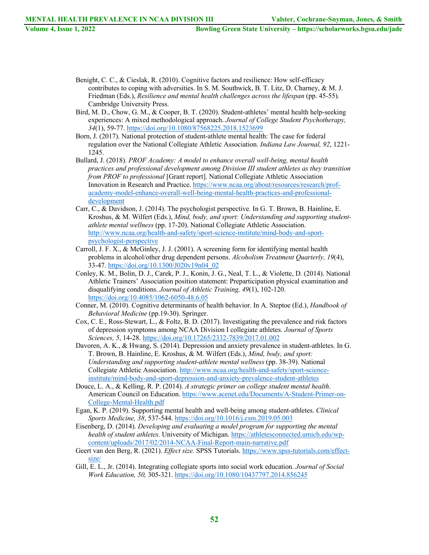- Benight, C. C., & Cieslak, R. (2010). Cognitive factors and resilience: How self-efficacy contributes to coping with adversities. In S. M. Southwick, B. T. Litz, D. Charney, & M. J. Friedman (Eds.), *Resilience and mental health challenges across the lifespan* (pp. 45-55). Cambridge University Press.
- Bird, M. D., Chow, G. M., & Cooper, B. T. (2020). Student-athletes' mental health help-seeking experiences: A mixed methodological approach. *Journal of College Student Psychotherapy, 34*(1), 59-77. https://doi.org/10.1080/87568225.2018.1523699
- Born, J. (2017). National protection of student-athlete mental health: The case for federal regulation over the National Collegiate Athletic Association. *Indiana Law Journal, 92*, 1221- 1245.
- Bullard, J. (2018). *PROF Academy: A model to enhance overall well-being, mental health practices and professional development among Division III student athletes as they transition from PROF to professional* [Grant report]. National Collegiate Athletic Association Innovation in Research and Practice. https://www.ncaa.org/about/resources/research/profacademy-model-enhance-overall-well-being-mental-health-practices-and-professionaldevelopment
- Carr, C., & Davidson, J. (2014). The psychologist perspective*.* In G. T. Brown, B. Hainline, E. Kroshus, & M. Wilfert (Eds.), *Mind, body, and sport: Understanding and supporting studentathlete mental wellness* (pp. 17-20). National Collegiate Athletic Association. http://www.ncaa.org/health-and-safety/sport-science*-*institute/mind-body-and-sportpsychologist-perspective
- Carroll, J. F. X., & McGinley, J. J. (2001). A screening form for identifying mental health problems in alcohol/other drug dependent persons. *Alcoholism Treatment Quarterly, 19*(4), 33-47. https://doi.org/10.1300/J020v19n04\_02
- Conley, K. M., Bolin, D. J., Carek, P. J., Konin, J. G., Neal, T. L., & Violette, D. (2014). National Athletic Trainers' Association position statement: Preparticipation physical examination and disqualifying conditions. *Journal of Athletic Training, 49*(1), 102-120. https://doi.org/10.4085/1062-6050-48.6.05
- Conner, M. (2010). Cognitive determinants of health behavior. In A. Steptoe (Ed.), *Handbook of Behavioral Medicine* (pp.19-30). Springer.
- Cox, C. E., Ross-Stewart, L., & Foltz, B. D. (2017). Investigating the prevalence and risk factors of depression symptoms among NCAA Division I collegiate athletes. *Journal of Sports Sciences, 5*, 14-28. https://doi.org/10.17265/2332-7839/2017.01.002
- Davoren, A. K., & Hwang, S. (2014). Depression and anxiety prevalence in student-athletes. In G. T. Brown, B. Hainline, E. Kroshus, & M. Wilfert (Eds.), *Mind, body, and sport: Understanding and supporting student-athlete mental wellness* (pp. 38-39). National Collegiate Athletic Association. http://www.ncaa.org/health-and-safety/sport-scienceinstitute/mind-body-and-sport-depression-and-anxiety-prevalence-student-athletes
- Douce, L. A., & Kelling, R. P. (2014). *A strategic primer on college student mental health*. American Council on Education. https://www.acenet.edu/Documents/A-Student-Primer-on-College-Mental-Health.pdf
- Egan, K. P. (2019). Supporting mental health and well-being among student-athletes. *Clinical Sports Medicine, 38*, 537-544. https://doi.org/10.1016/j.csm.2019.05.003
- Eisenberg, D. (2014). *Developing and evaluating a model program for supporting the mental health of student athletes.* University of Michigan. https://athletesconnected.umich.edu/wpcontent/uploads/2017/02/2014-NCAA-Final-Report-main-narrative.pdf
- Geert van den Berg, R. (2021). *Effect size.* SPSS Tutorials. https://www.spss-tutorials.com/effectsize/
- Gill, E. L., Jr. (2014). Integrating collegiate sports into social work education. *Journal of Social Work Education, 50,* 305-321. https://doi.org/10.1080/10437797.2014.856245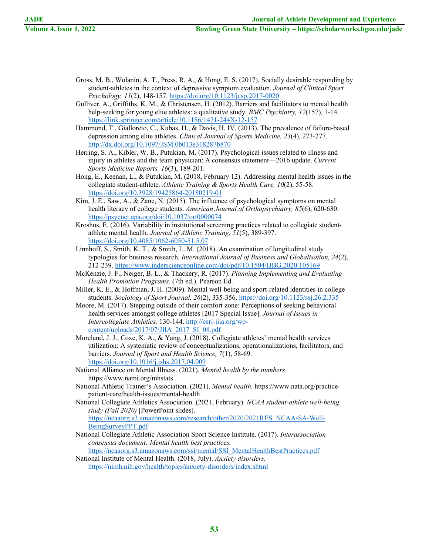- Gross, M. B., Wolanin, A. T., Press, R. A., & Hong, E. S. (2017). Socially desirable responding by student-athletes in the context of depressive symptom evaluation. *Journal of Clinical Sport Psychology, 11*(2), 148-157. https://doi.org/10.1123/jcsp.2017-0020
- Gulliver, A., Griffiths, K. M., & Christensen, H. (2012). Barriers and facilitators to mental health help-seeking for young elite athletes: a qualitative study. *BMC Psychiatry, 12*(157), 1-14. https://link.springer.com/article/10.1186/1471-244X-12-157
- Hammond, T., Gialloreto, C., Kubas, H., & Davis, H, IV. (2013). The prevalence of failure-based depression among elite athletes. *Clinical Journal of Sports Medicine, 23*(4), 273-277. http://dx.doi.org/10.1097/JSM.0b013e318287b870
- Herring, S. A., Kibler, W. B., Putukian, M. (2017). Psychological issues related to illness and injury in athletes and the team physician: A consensus statement—2016 update. *Current Sports Medicine Reports, 16*(3), 189-201.
- Hong, E., Keenan, L., & Putukian, M. (2018, February 12). Addressing mental health issues in the collegiate student-athlete. *Athletic Training & Sports Health Care, 10*(2), 55-58. https://doi.org/10.3928/19425864-20180219-01
- Kim, J. E., Saw, A., & Zane, N. (2015). The influence of psychological symptoms on mental health literacy of college students. *American Journal of Orthopsychiatry, 85*(6), 620-630. https://psycnet.apa.org/doi/10.1037/ort0000074
- Kroshus, E. (2016). Variability in institutional screening practices related to collegiate studentathlete mental health. *Journal of Athletic Training, 51*(5), 389-397. https://doi.org/10.4085/1062-6050-51.5.07
- Linnhoff, S., Smith, K. T., & Smith, L. M. (2018). An examination of longitudinal study typologies for business research. *International Journal of Business and Globalisation*, *24*(2), 212-239. https://www.inderscienceonline.com/doi/pdf/10.1504/IJBG.2020.105169
- McKenzie, J. F., Neiger, B. L., & Thackery, R. (2017). *Planning Implementing and Evaluating Health Promotion Programs.* (7th ed.). Pearson Ed.
- Miller, K. E., & Hoffman, J. H. (2009). Mental well-being and sport-related identities in college students. *Sociology of Sport Journal, 26*(2), 335-356. https://doi.org/10.1123/ssj.26.2.335
- Moore, M. (2017). Stepping outside of their comfort zone: Perceptions of seeking behavioral health services amongst college athletes [2017 Special Issue]. *Journal of Issues in Intercollegiate Athletics,* 130-144. http://csri-jiia.org/wpcontent/uploads/2017/07/JIIA\_2017\_SI\_08.pdf
- Moreland, J. J., Coxe, K. A., & Yang, J. (2018). Collegiate athletes' mental health services utilization: A systematic review of conceptualizations, operationalizations, facilitators, and barriers. *Journal of Sport and Health Science, 7*(1), 58-69. https://doi.org/10.1016/j.jshs.2017.04.009
- National Alliance on Mental Illness. (2021). *Mental health by the numbers.* https://www.nami.org/mhstats
- National Athletic Trainer's Association. (2021). *Mental health*. https://www.nata.org/practicepatient-care/health-issues/mental-health
- National Collegiate Athletics Association. (2021, February). *NCAA student-athlete well-being study (Fall 2020)* [PowerPoint slides]. https://ncaaorg.s3.amazonaws.com/research/other/2020/2021RES\_NCAA-SA-Well-BeingSurveyPPT.pdf
- National Collegiate Athletic Association Sport Science Institute. (2017). *Interassociation consensus document: Mental health best practices.*

https://ncaaorg.s3.amazonaws.com/ssi/mental/SSI\_MentalHealthBestPractices.pdf National Institute of Mental Health. (2018, July). *Anxiety disorders.*  https://nimh.nih.gov/health/topics/anxiety-disorders/index.shtml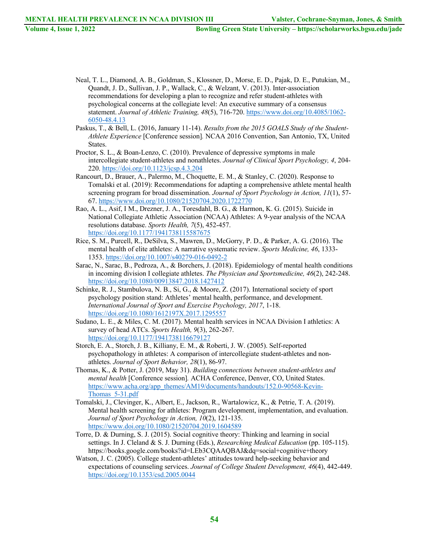- Neal, T. L., Diamond, A. B., Goldman, S., Klossner, D., Morse, E. D., Pajak, D. E., Putukian, M., Quandt, J. D., Sullivan, J. P., Wallack, C., & Welzant, V. (2013). Inter-association recommendations for developing a plan to recognize and refer student-athletes with psychological concerns at the collegiate level: An executive summary of a consensus statement. *Journal of Athletic Training, 48*(5), 716-720. https://www.doi.org/10.4085/1062- 6050-48.4.13
- Paskus, T., & Bell, L. (2016, January 11-14). *Results from the 2015 GOALS Study of the Student-Athlete Experience* [Conference session]*.* NCAA 2016 Convention, San Antonio, TX, United States.
- Proctor, S. L., & Boan-Lenzo, C. (2010). Prevalence of depressive symptoms in male intercollegiate student-athletes and nonathletes. *Journal of Clinical Sport Psychology, 4*, 204- 220. https://doi.org/10.1123/jcsp.4.3.204
- Rancourt, D., Brauer, A., Palermo, M., Choquette, E. M., & Stanley, C. (2020). Response to Tomalski et al. (2019): Recommendations for adapting a comprehensive athlete mental health screening program for broad dissemination. *Journal of Sport Psychology in Action, 11*(1), 57- 67. https://www.doi.org/10.1080/21520704.2020.1722770
- Rao, A. L., Asif, I M., Drezner, J. A., Toresdahl, B. G., & Harmon, K. G. (2015). Suicide in National Collegiate Athletic Association (NCAA) Athletes: A 9-year analysis of the NCAA resolutions database. *Sports Health, 7*(5), 452-457. https://doi.org/10.1177/1941738115587675
- Rice, S. M., Purcell, R., DeSilva, S., Mawren, D., McGorry, P. D., & Parker, A. G. (2016). The mental health of elite athletes: A narrative systematic review. *Sports Medicine, 46*, 1333- 1353. https://doi.org/10.1007/s40279-016-0492-2
- Sarac, N., Sarac, B., Pedroza, A., & Borchers, J. (2018). Epidemiology of mental health conditions in incoming division I collegiate athletes. *The Physician and Sportsmedicine, 46*(2), 242-248. https://doi.org/10.1080/00913847.2018.1427412
- Schinke, R. J., Stambulova, N. B., Si, G., & Moore, Z. (2017). International society of sport psychology position stand: Athletes' mental health, performance, and development. *International Journal of Sport and Exercise Psychology, 2017*, 1-18. https://doi.org/10.1080/1612197X.2017.1295557
- Sudano, L. E., & Miles, C. M. (2017). Mental health services in NCAA Division I athletics: A survey of head ATCs. *Sports Health, 9*(3), 262-267. https://doi.org/10.1177/1941738116679127
- Storch, E. A., Storch, J. B., Killiany, E. M., & Roberti, J. W. (2005). Self-reported psychopathology in athletes: A comparison of intercollegiate student-athletes and nonathletes. *Journal of Sport Behavior, 28*(1), 86-97.
- Thomas, K., & Potter, J. (2019, May 31). *Building connections between student-athletes and mental health* [Conference session]*.* ACHA Conference, Denver, CO, United States. https://www.acha.org/app\_themes/AM19/documents/handouts/152.0-90568-Kevin-Thomas\_5-31.pdf
- Tomalski, J., Clevinger, K., Albert, E., Jackson, R., Wartalowicz, K., & Petrie, T. A. (2019). Mental health screening for athletes: Program development, implementation, and evaluation. *Journal of Sport Psychology in Action, 10*(2), 121-135. https://www.doi.org/10.1080/21520704.2019.1604589
- Torre, D. & Durning, S. J. (2015). Social cognitive theory: Thinking and learning in social settings. In J. Cleland & S. J. Durning (Eds.), *Researching Medical Education* (pp. 105-115). https://books.google.com/books?id=LEb3CQAAQBAJ&dq=social+cognitive+theory
- Watson, J. C. (2005). College student-athletes' attitudes toward help-seeking behavior and expectations of counseling services. *Journal of College Student Development, 46*(4), 442-449. https://doi.org/10.1353/csd.2005.0044